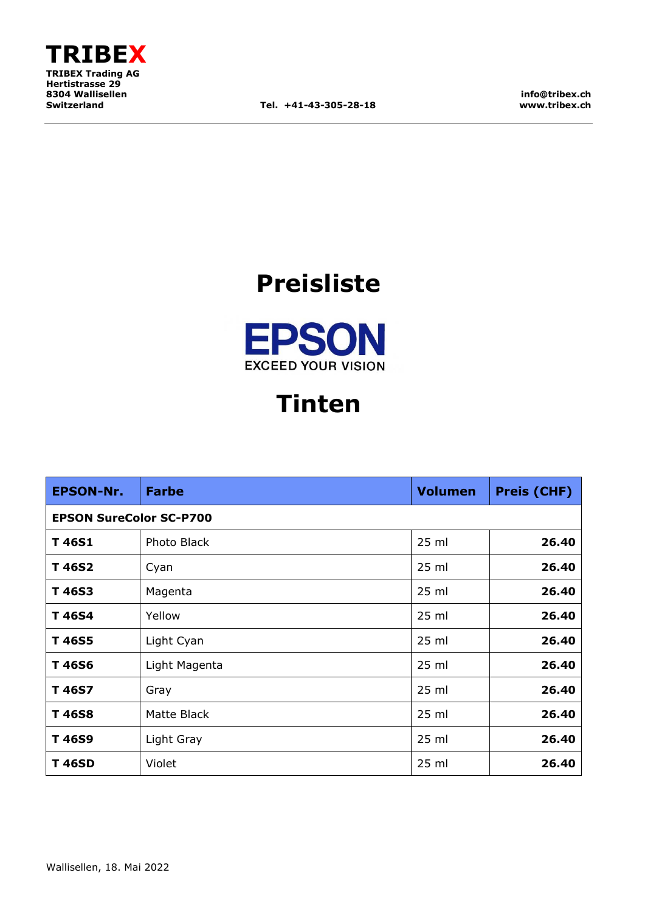

**info@tribex.ch www.tribex.ch**

## **Preisliste**



## **Tinten**

| <b>EPSON-Nr.</b>               | <b>Farbe</b>  | <b>Volumen</b> | <b>Preis (CHF)</b> |
|--------------------------------|---------------|----------------|--------------------|
| <b>EPSON SureColor SC-P700</b> |               |                |                    |
| T 46S1                         | Photo Black   | $25$ ml        | 26.40              |
| T 46S2                         | Cyan          | $25$ ml        | 26.40              |
| T 46S3                         | Magenta       | $25$ ml        | 26.40              |
| T 46S4                         | Yellow        | $25$ ml        | 26.40              |
| T 46S5                         | Light Cyan    | 25 ml          | 26.40              |
| T 46S6                         | Light Magenta | 25 ml          | 26.40              |
| T 46S7                         | Gray          | 25 ml          | 26.40              |
| T46S8                          | Matte Black   | $25$ ml        | 26.40              |
| T 46S9                         | Light Gray    | $25$ ml        | 26.40              |
| <b>T46SD</b>                   | Violet        | $25$ ml        | 26.40              |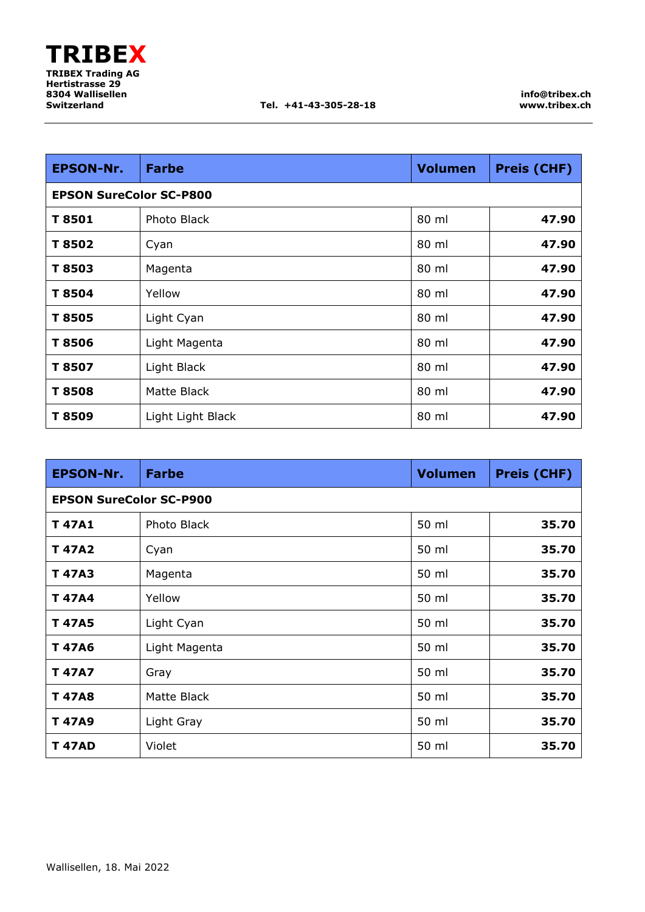| <b>EPSON-Nr.</b>               | <b>Farbe</b>      | <b>Volumen</b> | <b>Preis (CHF)</b> |
|--------------------------------|-------------------|----------------|--------------------|
| <b>EPSON SureColor SC-P800</b> |                   |                |                    |
| T 8501                         | Photo Black       | 80 ml          | 47.90              |
| T 8502                         | Cyan              | 80 ml          | 47.90              |
| T 8503                         | Magenta           | 80 ml          | 47.90              |
| T 8504                         | Yellow            | 80 ml          | 47.90              |
| T 8505                         | Light Cyan        | 80 ml          | 47.90              |
| T8506                          | Light Magenta     | 80 ml          | 47.90              |
| T 8507                         | Light Black       | 80 ml          | 47.90              |
| T8508                          | Matte Black       | 80 ml          | 47.90              |
| T 8509                         | Light Light Black | 80 ml          | 47.90              |

| <b>EPSON-Nr.</b>               | <b>Farbe</b>  | <b>Volumen</b> | <b>Preis (CHF)</b> |
|--------------------------------|---------------|----------------|--------------------|
| <b>EPSON SureColor SC-P900</b> |               |                |                    |
| <b>T47A1</b>                   | Photo Black   | 50 ml          | 35.70              |
| <b>T47A2</b>                   | Cyan          | 50 ml          | 35.70              |
| <b>T 47A3</b>                  | Magenta       | 50 ml          | 35.70              |
| <b>T47A4</b>                   | Yellow        | 50 ml          | 35.70              |
| <b>T 47A5</b>                  | Light Cyan    | 50 ml          | 35.70              |
| <b>T47A6</b>                   | Light Magenta | 50 ml          | 35.70              |
| <b>T 47A7</b>                  | Gray          | 50 ml          | 35.70              |
| <b>T47A8</b>                   | Matte Black   | 50 ml          | 35.70              |
| <b>T47A9</b>                   | Light Gray    | 50 ml          | 35.70              |
| <b>T 47AD</b>                  | Violet        | 50 ml          | 35.70              |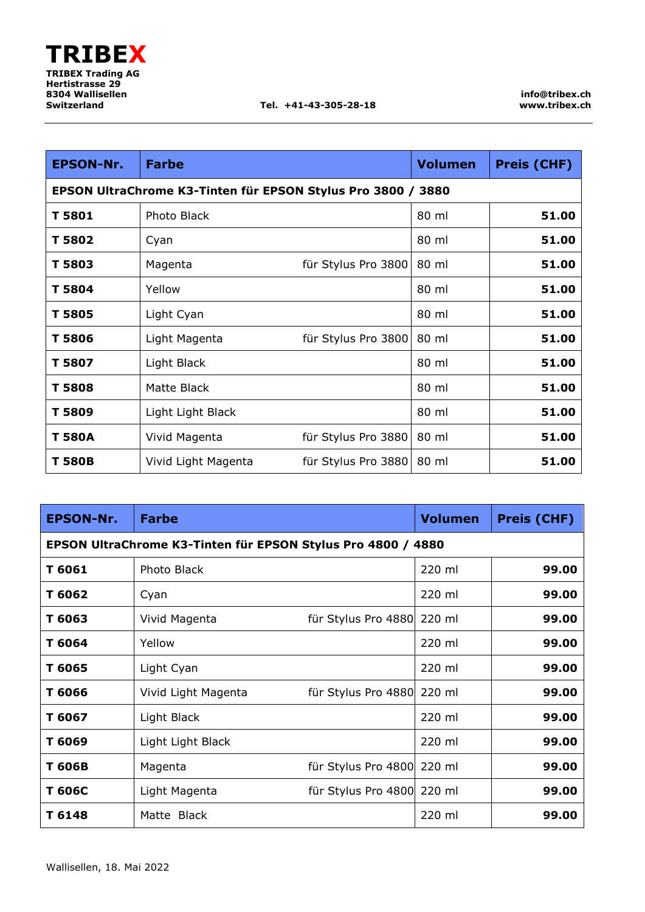| <b>EPSON-Nr.</b> | <b>Farbe</b>                                                 |                     | <b>Volumen</b> | <b>Preis (CHF)</b> |
|------------------|--------------------------------------------------------------|---------------------|----------------|--------------------|
|                  | EPSON UltraChrome K3-Tinten für EPSON Stylus Pro 3800 / 3880 |                     |                |                    |
| T 5801           | Photo Black                                                  |                     | 80 ml          | 51.00              |
| T 5802           | Cyan                                                         |                     | 80 ml          | 51.00              |
| T 5803           | Magenta                                                      | für Stylus Pro 3800 | 80 ml          | 51.00              |
| T 5804           | Yellow                                                       |                     | 80 ml          | 51.00              |
| T 5805           | Light Cyan                                                   |                     | 80 ml          | 51.00              |
| T 5806           | Light Magenta                                                | für Stylus Pro 3800 | 80 ml          | 51.00              |
| T 5807           | Light Black                                                  |                     | 80 ml          | 51.00              |
| <b>T5808</b>     | Matte Black                                                  |                     | 80 ml          | 51.00              |
| T 5809           | Light Light Black                                            |                     | 80 ml          | 51.00              |
| T 580A           | Vivid Magenta                                                | für Stylus Pro 3880 | 80 ml          | 51.00              |
| T 580B           | Vivid Light Magenta                                          | für Stylus Pro 3880 | 80 ml          | 51.00              |

| <b>EPSON-Nr.</b> | <b>Farbe</b>                                                 |                            | <b>Volumen</b> | <b>Preis (CHF)</b> |
|------------------|--------------------------------------------------------------|----------------------------|----------------|--------------------|
|                  | EPSON UltraChrome K3-Tinten für EPSON Stylus Pro 4800 / 4880 |                            |                |                    |
| T 6061           | Photo Black                                                  |                            | 220 ml         | 99.00              |
| T 6062           | Cyan                                                         |                            | 220 ml         | 99.00              |
| T 6063           | Vivid Magenta                                                | für Stylus Pro 4880 220 ml |                | 99.00              |
| T 6064           | Yellow                                                       |                            | 220 ml         | 99.00              |
| T 6065           | Light Cyan                                                   |                            | 220 ml         | 99.00              |
| T 6066           | Vivid Light Magenta                                          | für Stylus Pro 4880 220 ml |                | 99.00              |
| T 6067           | Light Black                                                  |                            | 220 ml         | 99.00              |
| T 6069           | Light Light Black                                            |                            | 220 ml         | 99.00              |
| T 606B           | Magenta                                                      | für Stylus Pro 4800 220 ml |                | 99.00              |
| T 606C           | Light Magenta                                                | für Stylus Pro 4800 220 ml |                | 99.00              |
| T 6148           | Matte Black                                                  |                            | 220 ml         | 99.00              |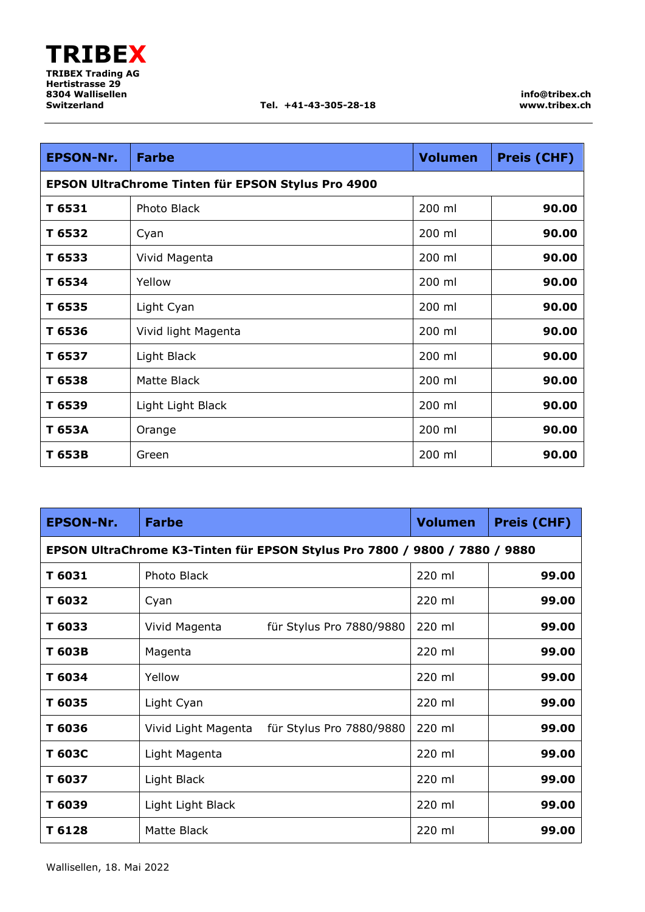| <b>EPSON-Nr.</b> | <b>Farbe</b>                                       | <b>Volumen</b> | <b>Preis (CHF)</b> |
|------------------|----------------------------------------------------|----------------|--------------------|
|                  | EPSON UltraChrome Tinten für EPSON Stylus Pro 4900 |                |                    |
| T 6531           | Photo Black                                        | 200 ml         | 90.00              |
| T 6532           | Cyan                                               | 200 ml         | 90.00              |
| T 6533           | Vivid Magenta                                      | 200 ml         | 90.00              |
| T 6534           | Yellow                                             | 200 ml         | 90.00              |
| T 6535           | Light Cyan                                         | 200 ml         | 90.00              |
| T 6536           | Vivid light Magenta                                | 200 ml         | 90.00              |
| T 6537           | Light Black                                        | 200 ml         | 90.00              |
| T 6538           | Matte Black                                        | 200 ml         | 90.00              |
| T 6539           | Light Light Black                                  | 200 ml         | 90.00              |
| T 653A           | Orange                                             | 200 ml         | 90.00              |
| T 653B           | Green                                              | 200 ml         | 90.00              |

| <b>EPSON-Nr.</b> | <b>Farbe</b>                                                               | <b>Volumen</b> | <b>Preis (CHF)</b> |
|------------------|----------------------------------------------------------------------------|----------------|--------------------|
|                  | EPSON UltraChrome K3-Tinten für EPSON Stylus Pro 7800 / 9800 / 7880 / 9880 |                |                    |
| T 6031           | Photo Black                                                                | 220 ml         | 99.00              |
| T 6032           | Cyan                                                                       | 220 ml         | 99.00              |
| T 6033           | Vivid Magenta<br>für Stylus Pro 7880/9880                                  | 220 ml         | 99.00              |
| T 603B           | Magenta                                                                    | 220 ml         | 99.00              |
| T 6034           | Yellow                                                                     | 220 ml         | 99.00              |
| T 6035           | Light Cyan                                                                 | 220 ml         | 99.00              |
| T 6036           | Vivid Light Magenta<br>für Stylus Pro 7880/9880                            | 220 ml         | 99.00              |
| T 603C           | Light Magenta                                                              | 220 ml         | 99.00              |
| T 6037           | Light Black                                                                | 220 ml         | 99.00              |
| T 6039           | Light Light Black                                                          | 220 ml         | 99.00              |
| T 6128           | Matte Black                                                                | 220 ml         | 99.00              |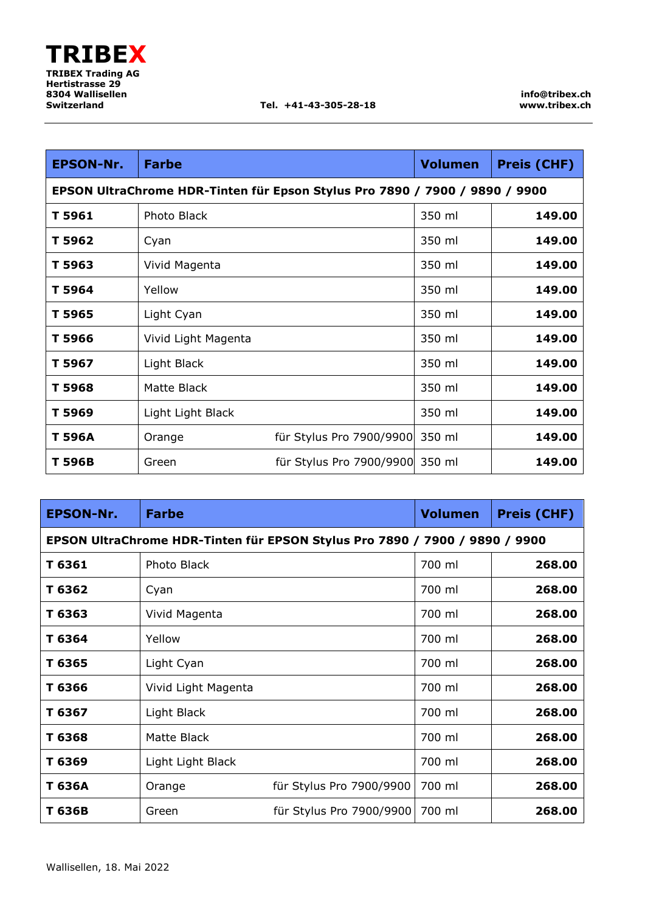| <b>EPSON-Nr.</b> | <b>Farbe</b>                                                                | <b>Volumen</b> | <b>Preis (CHF)</b> |
|------------------|-----------------------------------------------------------------------------|----------------|--------------------|
|                  | EPSON UltraChrome HDR-Tinten für Epson Stylus Pro 7890 / 7900 / 9890 / 9900 |                |                    |
| T 5961           | Photo Black                                                                 | 350 ml         | 149.00             |
| T 5962           | Cyan                                                                        | 350 ml         | 149.00             |
| T 5963           | Vivid Magenta                                                               | 350 ml         | 149.00             |
| T 5964           | Yellow                                                                      | 350 ml         | 149.00             |
| T 5965           | Light Cyan                                                                  | 350 ml         | 149.00             |
| T 5966           | Vivid Light Magenta                                                         | 350 ml         | 149.00             |
| T 5967           | Light Black                                                                 | 350 ml         | 149.00             |
| T 5968           | Matte Black                                                                 | 350 ml         | 149.00             |
| T 5969           | Light Light Black                                                           | 350 ml         | 149.00             |
| T 596A           | für Stylus Pro 7900/9900<br>Orange                                          | 350 ml         | 149.00             |
| T 596B           | für Stylus Pro 7900/9900 350 ml<br>Green                                    |                | 149.00             |

| <b>EPSON-Nr.</b> | <b>Farbe</b>                                                                | <b>Volumen</b> | <b>Preis (CHF)</b> |
|------------------|-----------------------------------------------------------------------------|----------------|--------------------|
|                  | EPSON UltraChrome HDR-Tinten für EPSON Stylus Pro 7890 / 7900 / 9890 / 9900 |                |                    |
| T 6361           | Photo Black                                                                 | 700 ml         | 268.00             |
| T 6362           | Cyan                                                                        | 700 ml         | 268.00             |
| T 6363           | Vivid Magenta                                                               | 700 ml         | 268.00             |
| T 6364           | Yellow                                                                      | 700 ml         | 268.00             |
| T 6365           | Light Cyan                                                                  | 700 ml         | 268.00             |
| T 6366           | Vivid Light Magenta                                                         | 700 ml         | 268.00             |
| T 6367           | Light Black                                                                 | 700 ml         | 268.00             |
| T 6368           | Matte Black                                                                 | 700 ml         | 268.00             |
| T 6369           | Light Light Black                                                           | 700 ml         | 268.00             |
| T 636A           | für Stylus Pro 7900/9900<br>Orange                                          | 700 ml         | 268.00             |
| T 636B           | für Stylus Pro 7900/9900<br>Green                                           | 700 ml         | 268.00             |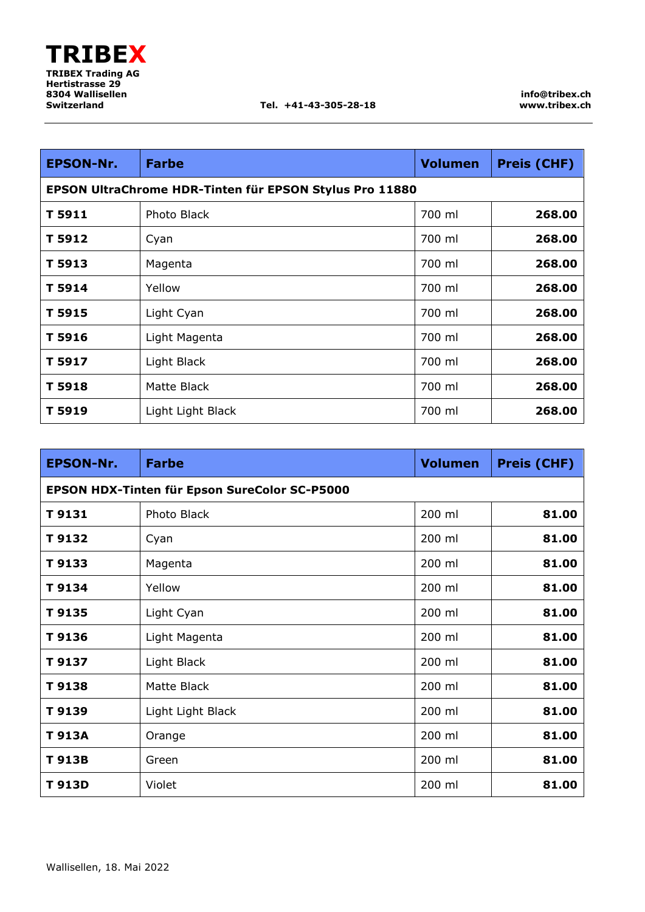| <b>EPSON-Nr.</b> | <b>Farbe</b>                                            | <b>Volumen</b> | <b>Preis (CHF)</b> |
|------------------|---------------------------------------------------------|----------------|--------------------|
|                  | EPSON UltraChrome HDR-Tinten für EPSON Stylus Pro 11880 |                |                    |
| T 5911           | Photo Black                                             | 700 ml         | 268.00             |
| T 5912           | Cyan                                                    | 700 ml         | 268.00             |
| T 5913           | Magenta                                                 | 700 ml         | 268.00             |
| T 5914           | Yellow                                                  | 700 ml         | 268.00             |
| T 5915           | Light Cyan                                              | 700 ml         | 268.00             |
| T 5916           | Light Magenta                                           | 700 ml         | 268.00             |
| T 5917           | Light Black                                             | 700 ml         | 268.00             |
| T 5918           | Matte Black                                             | 700 ml         | 268.00             |
| T 5919           | Light Light Black                                       | 700 ml         | 268.00             |

| <b>EPSON-Nr.</b> | <b>Farbe</b>                                  | <b>Volumen</b> | <b>Preis (CHF)</b> |
|------------------|-----------------------------------------------|----------------|--------------------|
|                  | EPSON HDX-Tinten für Epson SureColor SC-P5000 |                |                    |
| T9131            | Photo Black                                   | 200 ml         | 81.00              |
| T 9132           | Cyan                                          | 200 ml         | 81.00              |
| T 9133           | Magenta                                       | 200 ml         | 81.00              |
| T 9134           | Yellow                                        | 200 ml         | 81.00              |
| T9135            | Light Cyan                                    | 200 ml         | 81.00              |
| T9136            | Light Magenta                                 | 200 ml         | 81.00              |
| T 9137           | Light Black                                   | 200 ml         | 81.00              |
| T9138            | Matte Black                                   | 200 ml         | 81.00              |
| T 9139           | Light Light Black                             | 200 ml         | 81.00              |
| T 913A           | Orange                                        | 200 ml         | 81.00              |
| T 913B           | Green                                         | 200 ml         | 81.00              |
| T 913D           | Violet                                        | 200 ml         | 81.00              |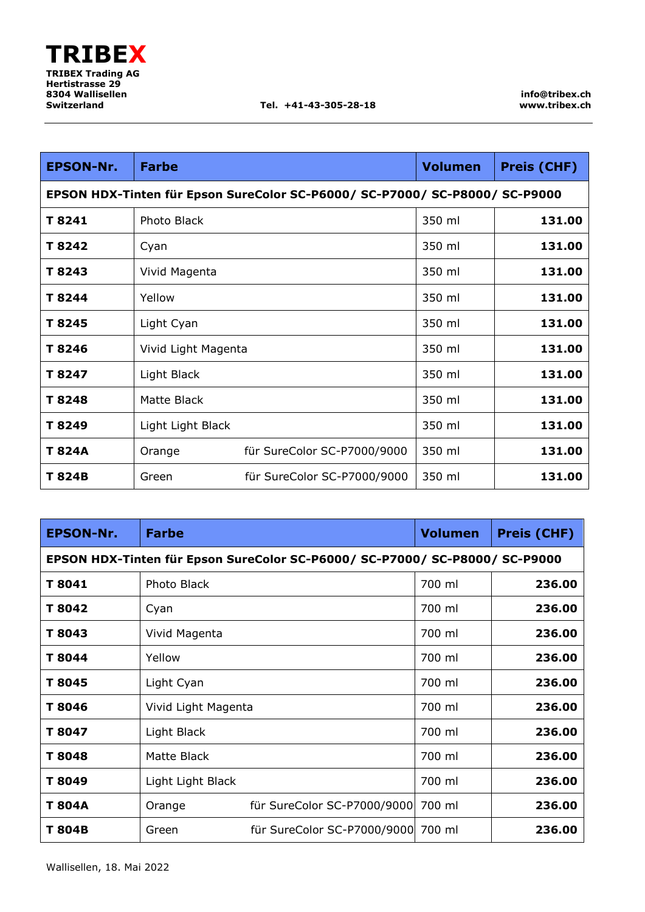| <b>EPSON-Nr.</b> | <b>Farbe</b>        |                                                                             | <b>Volumen</b> | <b>Preis (CHF)</b> |
|------------------|---------------------|-----------------------------------------------------------------------------|----------------|--------------------|
|                  |                     | EPSON HDX-Tinten für Epson SureColor SC-P6000/ SC-P7000/ SC-P8000/ SC-P9000 |                |                    |
| T 8241           | Photo Black         |                                                                             | 350 ml         | 131.00             |
| T 8242           | Cyan                |                                                                             | 350 ml         | 131.00             |
| T 8243           | Vivid Magenta       |                                                                             | 350 ml         | 131.00             |
| T 8244           | Yellow              |                                                                             |                | 131.00             |
| T 8245           | Light Cyan          | 350 ml                                                                      |                | 131.00             |
| T 8246           | Vivid Light Magenta |                                                                             | 350 ml         | 131.00             |
| T 8247           | Light Black         |                                                                             | 350 ml         | 131.00             |
| T 8248           | Matte Black         |                                                                             | 350 ml         | 131.00             |
| T 8249           | Light Light Black   |                                                                             | 350 ml         | 131.00             |
| T 824A           | Orange              | für SureColor SC-P7000/9000                                                 | 350 ml         | 131.00             |
| T 824B           | Green               | für SureColor SC-P7000/9000                                                 | 350 ml         | 131.00             |

| <b>EPSON-Nr.</b> | <b>Farbe</b>                                                                |                             | <b>Volumen</b> | <b>Preis (CHF)</b> |
|------------------|-----------------------------------------------------------------------------|-----------------------------|----------------|--------------------|
|                  | EPSON HDX-Tinten für Epson SureColor SC-P6000/ SC-P7000/ SC-P8000/ SC-P9000 |                             |                |                    |
| T 8041           | Photo Black                                                                 |                             | 700 ml         | 236.00             |
| T 8042           | Cyan                                                                        |                             | 700 ml         | 236.00             |
| T 8043           | Vivid Magenta                                                               |                             | 700 ml         | 236.00             |
| T 8044           | Yellow                                                                      |                             | 700 ml         | 236.00             |
| T 8045           | Light Cyan                                                                  |                             | 700 ml         | 236.00             |
| T 8046           | Vivid Light Magenta                                                         |                             | 700 ml         | 236.00             |
| T 8047           | Light Black                                                                 |                             | 700 ml         | 236.00             |
| T 8048           | Matte Black                                                                 |                             | 700 ml         | 236.00             |
| T 8049           | Light Light Black                                                           |                             | 700 ml         | 236.00             |
| T 804A           | Orange                                                                      | für SureColor SC-P7000/9000 | 700 ml         | 236.00             |
| T 804B           | Green                                                                       | für SureColor SC-P7000/9000 | 700 ml         | 236.00             |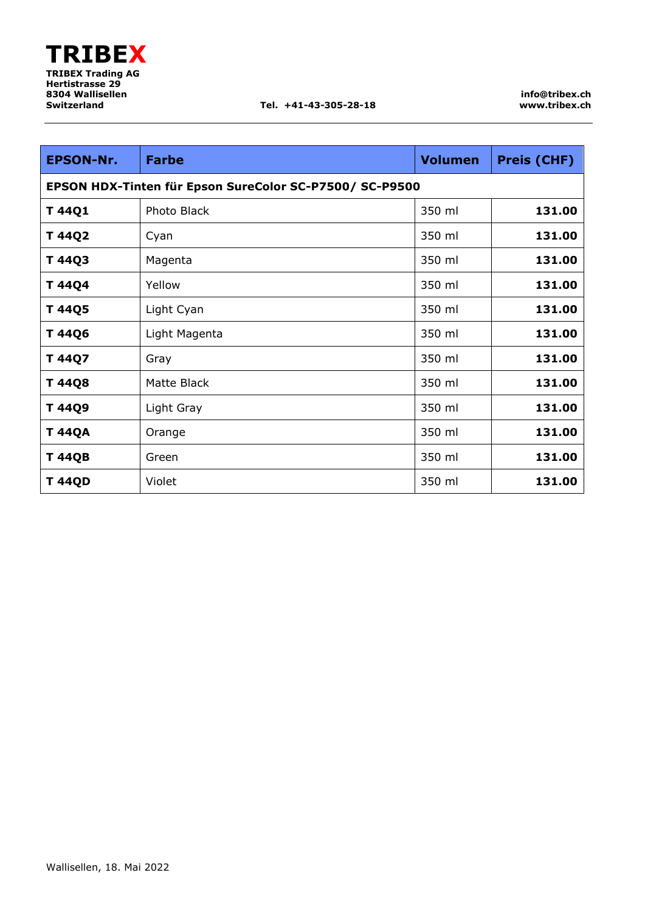**info@tribex.ch www.tribex.ch**

| <b>EPSON-Nr.</b>                                        | <b>Farbe</b>  | <b>Volumen</b> | <b>Preis (CHF)</b> |
|---------------------------------------------------------|---------------|----------------|--------------------|
| EPSON HDX-Tinten für Epson SureColor SC-P7500/ SC-P9500 |               |                |                    |
| T 44Q1                                                  | Photo Black   | 350 ml         | 131.00             |
| T 44Q2                                                  | Cyan          | 350 ml         | 131.00             |
| T 44Q3                                                  | Magenta       | 350 ml         | 131.00             |
| T 44Q4                                                  | Yellow        | 350 ml         | 131.00             |
| T 44Q5                                                  | Light Cyan    | 350 ml         | 131.00             |
| T 44Q6                                                  | Light Magenta | 350 ml         | 131.00             |
| T 44Q7                                                  | Gray          | 350 ml         | 131.00             |
| T 44Q8                                                  | Matte Black   | 350 ml         | 131.00             |
| T 44Q9                                                  | Light Gray    | 350 ml         | 131.00             |
| <b>T 44QA</b>                                           | Orange        | 350 ml         | 131.00             |
| <b>T 44QB</b>                                           | Green         | 350 ml         | 131.00             |
| <b>T 44QD</b>                                           | Violet        | 350 ml         | 131.00             |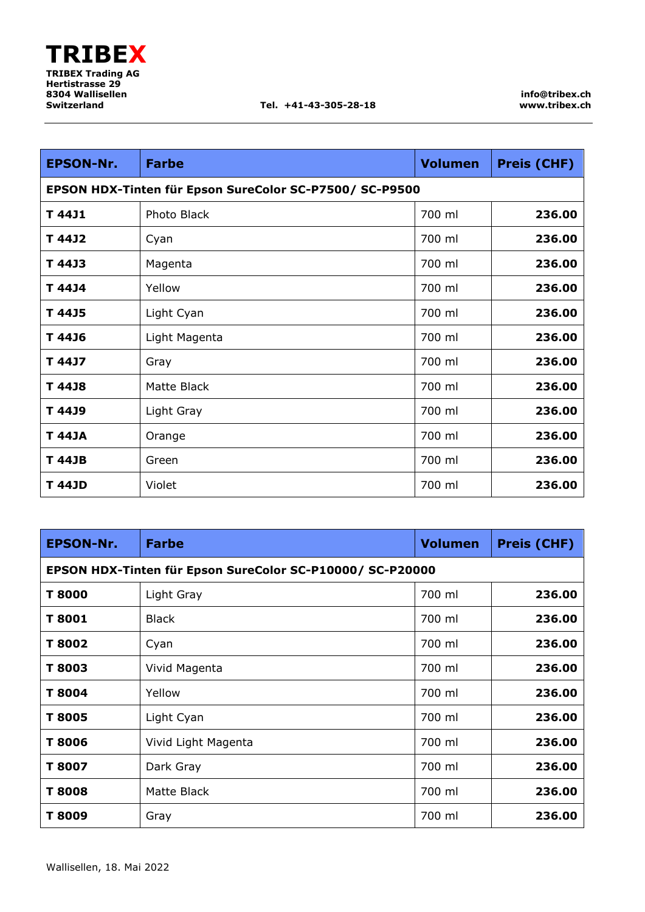| <b>EPSON-Nr.</b> | <b>Farbe</b>                                            | <b>Volumen</b> | <b>Preis (CHF)</b> |  |
|------------------|---------------------------------------------------------|----------------|--------------------|--|
|                  | EPSON HDX-Tinten für Epson SureColor SC-P7500/ SC-P9500 |                |                    |  |
| T 44J1           | Photo Black                                             | 700 ml         | 236.00             |  |
| T 44J2           | Cyan                                                    | 700 ml         | 236.00             |  |
| T 44J3           | Magenta                                                 | 700 ml         | 236.00             |  |
| T 44J4           | Yellow                                                  | 700 ml         | 236.00             |  |
| T 44J5           | Light Cyan                                              | 700 ml         | 236.00             |  |
| T 44J6           | Light Magenta                                           | 700 ml         | 236.00             |  |
| T 44J7           | Gray                                                    | 700 ml         | 236.00             |  |
| T 44J8           | Matte Black                                             | 700 ml         | 236.00             |  |
| T 44J9           | Light Gray                                              | 700 ml         | 236.00             |  |
| T 44JA           | Orange                                                  | 700 ml         | 236.00             |  |
| T 44JB           | Green                                                   | 700 ml         | 236.00             |  |
| <b>T 44JD</b>    | Violet                                                  | 700 ml         | 236.00             |  |

| <b>EPSON-Nr.</b>                                          | <b>Farbe</b>        | <b>Volumen</b> | <b>Preis (CHF)</b> |
|-----------------------------------------------------------|---------------------|----------------|--------------------|
| EPSON HDX-Tinten für Epson SureColor SC-P10000/ SC-P20000 |                     |                |                    |
| T 8000                                                    | Light Gray          | 700 ml         | 236.00             |
| T 8001                                                    | <b>Black</b>        | 700 ml         | 236.00             |
| T 8002                                                    | Cyan                | 700 ml         | 236.00             |
| T 8003                                                    | Vivid Magenta       | 700 ml         | 236.00             |
| T 8004                                                    | Yellow              | 700 ml         | 236.00             |
| T 8005                                                    | Light Cyan          | 700 ml         | 236.00             |
| T 8006                                                    | Vivid Light Magenta | 700 ml         | 236.00             |
| T 8007                                                    | Dark Gray           | 700 ml         | 236.00             |
| T 8008                                                    | Matte Black         | 700 ml         | 236.00             |
| T 8009                                                    | Gray                | 700 ml         | 236.00             |